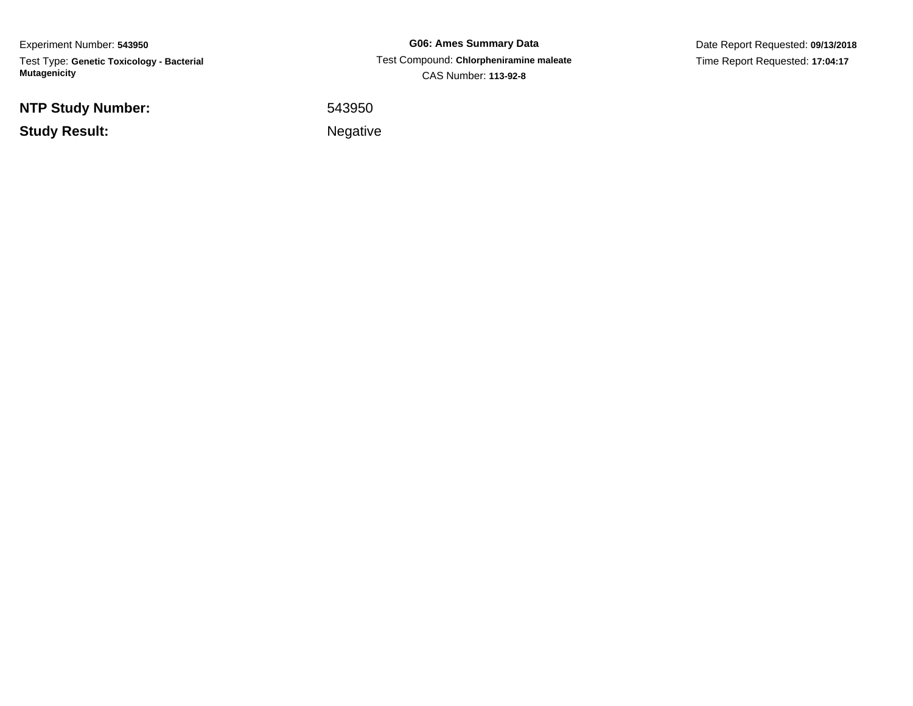Experiment Number: **543950**Test Type: **Genetic Toxicology - Bacterial Mutagenicity**

**NTP Study Number:**

**Study Result:**

**G06: Ames Summary Data** Test Compound: **Chlorpheniramine maleate**CAS Number: **113-92-8**

Date Report Requested: **09/13/2018**Time Report Requested: **17:04:17**

<sup>543950</sup>

Negative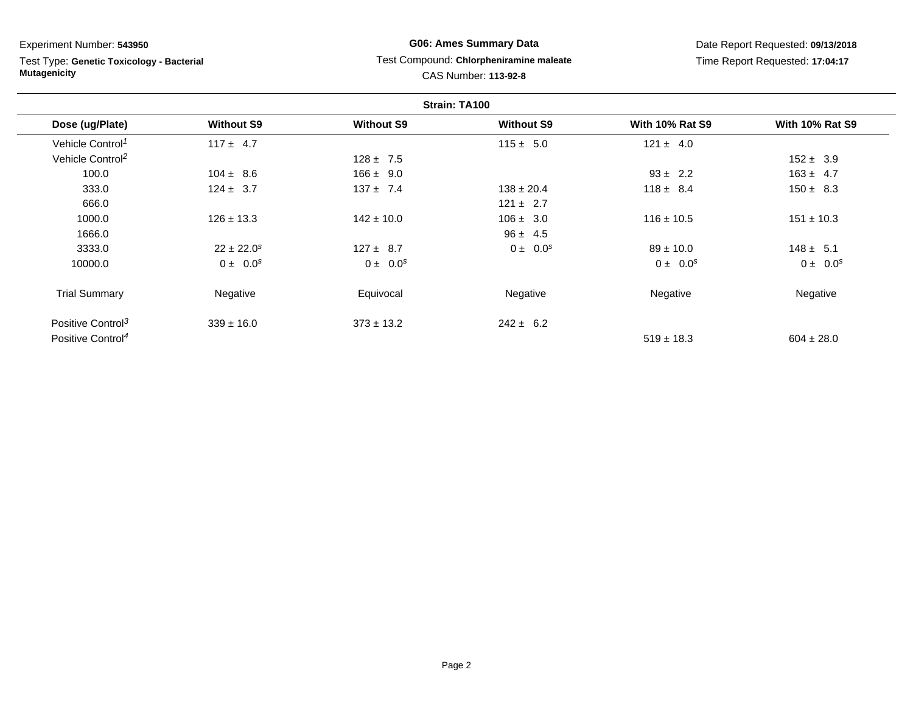Test Type: **Genetic Toxicology - Bacterial Mutagenicity**

## **G06: Ames Summary Data** Test Compound: **Chlorpheniramine maleate**CAS Number: **113-92-8**

| Strain: TA100                 |                            |                   |                   |                        |                        |
|-------------------------------|----------------------------|-------------------|-------------------|------------------------|------------------------|
| Dose (ug/Plate)               | <b>Without S9</b>          | <b>Without S9</b> | <b>Without S9</b> | <b>With 10% Rat S9</b> | <b>With 10% Rat S9</b> |
| Vehicle Control <sup>1</sup>  | $117 \pm 4.7$              |                   | $115 \pm 5.0$     | $121 \pm 4.0$          |                        |
| Vehicle Control <sup>2</sup>  |                            | $128 \pm 7.5$     |                   |                        | $152 \pm 3.9$          |
| 100.0                         | $104 \pm 8.6$              | $166 \pm 9.0$     |                   | $93 \pm 2.2$           | $163 \pm 4.7$          |
| 333.0                         | $124 \pm 3.7$              | $137 \pm 7.4$     | $138 \pm 20.4$    | $118 \pm 8.4$          | $150 \pm 8.3$          |
| 666.0                         |                            |                   | $121 \pm 2.7$     |                        |                        |
| 1000.0                        | $126 \pm 13.3$             | $142 \pm 10.0$    | $106 \pm 3.0$     | $116 \pm 10.5$         | $151 \pm 10.3$         |
| 1666.0                        |                            |                   | $96 \pm 4.5$      |                        |                        |
| 3333.0                        | $22 \pm 22.0$ <sup>s</sup> | $127 \pm 8.7$     | $0 \pm 0.0^s$     | $89 \pm 10.0$          | $148 \pm 5.1$          |
| 10000.0                       | $0 \pm 0.0^s$              | $0 \pm 0.0^s$     |                   | $0 \pm 0.0^s$          | $0 \pm 0.0^s$          |
| <b>Trial Summary</b>          | Negative                   | Equivocal         | Negative          | Negative               | Negative               |
| Positive Control <sup>3</sup> | $339 \pm 16.0$             | $373 \pm 13.2$    | $242 \pm 6.2$     |                        |                        |
| Positive Control <sup>4</sup> |                            |                   |                   | $519 \pm 18.3$         | $604 \pm 28.0$         |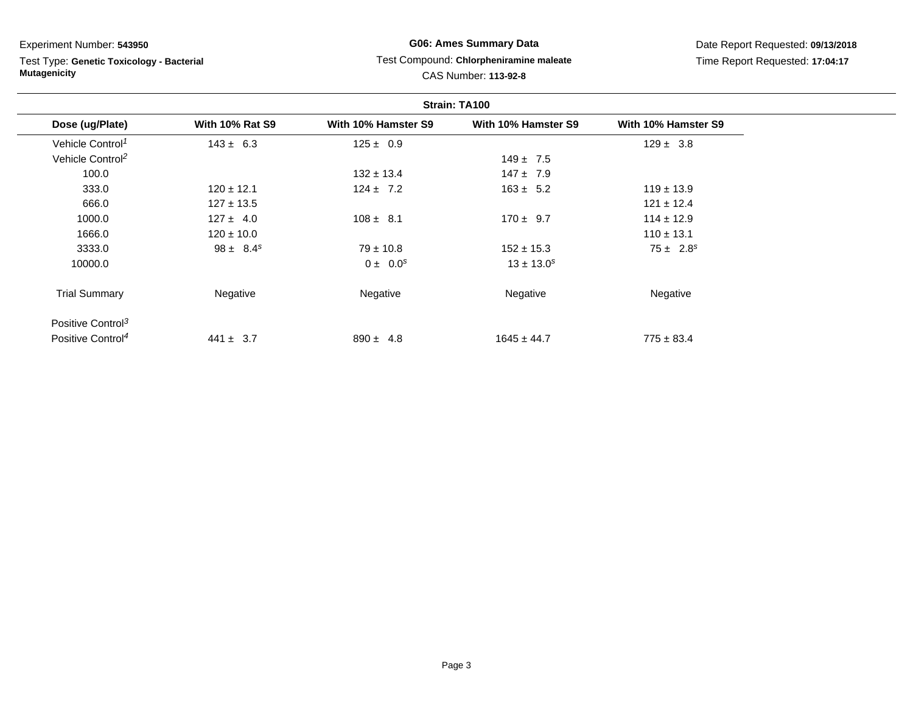# Test Type: **Genetic Toxicology - Bacterial Mutagenicity**

# **G06: Ames Summary Data**Test Compound: **Chlorpheniramine maleate**

Date Report Requested: **09/13/2018**Time Report Requested: **17:04:17**

|                               | Strain: TA100          |                     |                     |                     |  |
|-------------------------------|------------------------|---------------------|---------------------|---------------------|--|
| Dose (ug/Plate)               | <b>With 10% Rat S9</b> | With 10% Hamster S9 | With 10% Hamster S9 | With 10% Hamster S9 |  |
| Vehicle Control <sup>1</sup>  | $143 \pm 6.3$          | $125 \pm 0.9$       |                     | $129 \pm 3.8$       |  |
| Vehicle Control <sup>2</sup>  |                        |                     | $149 \pm 7.5$       |                     |  |
| 100.0                         |                        | $132 \pm 13.4$      | $147 \pm 7.9$       |                     |  |
| 333.0                         | $120 \pm 12.1$         | $124 \pm 7.2$       | $163 \pm 5.2$       | $119 \pm 13.9$      |  |
| 666.0                         | $127 \pm 13.5$         |                     |                     | $121 \pm 12.4$      |  |
| 1000.0                        | $127 \pm 4.0$          | $108 \pm 8.1$       | $170 \pm 9.7$       | $114 \pm 12.9$      |  |
| 1666.0                        | $120 \pm 10.0$         |                     |                     | $110 \pm 13.1$      |  |
| 3333.0                        | $98 \pm 8.4^s$         | $79 \pm 10.8$       | $152 \pm 15.3$      | $75 \pm 2.8^s$      |  |
| 10000.0                       |                        | $0 \pm 0.0^s$       | $13 \pm 13.0^s$     |                     |  |
| <b>Trial Summary</b>          | Negative               | Negative            | Negative            | Negative            |  |
| Positive Control <sup>3</sup> |                        |                     |                     |                     |  |
| Positive Control <sup>4</sup> | $441 \pm 3.7$          | $890 \pm 4.8$       | $1645 \pm 44.7$     | $775 \pm 83.4$      |  |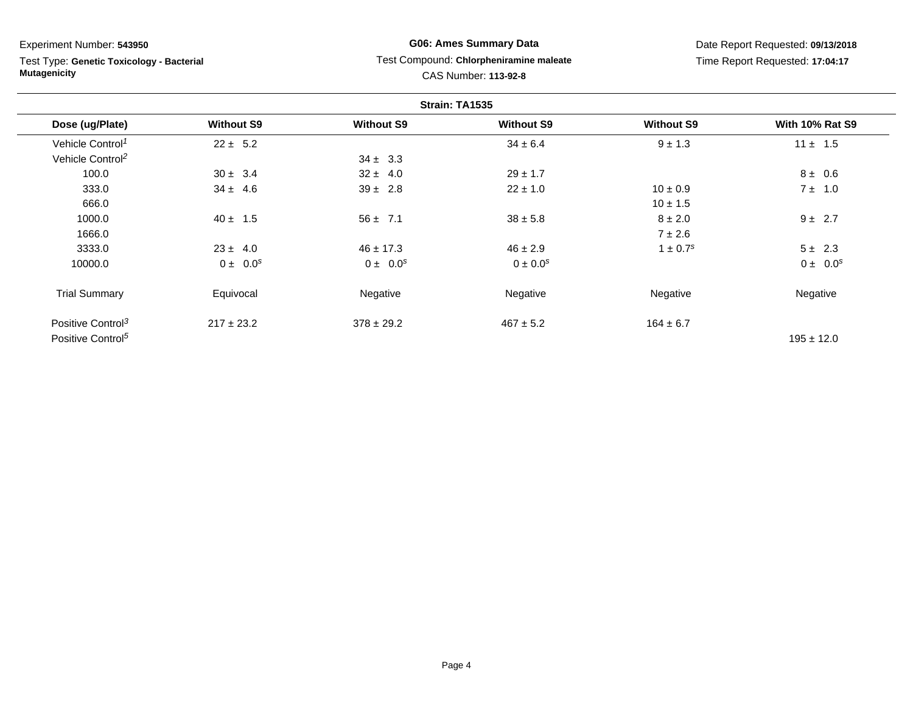Test Type: **Genetic Toxicology - Bacterial Mutagenicity**

### **G06: Ames Summary Data** Test Compound: **Chlorpheniramine maleate**CAS Number: **113-92-8**

| Strain: TA1535                |                   |                   |                   |                          |                        |
|-------------------------------|-------------------|-------------------|-------------------|--------------------------|------------------------|
| Dose (ug/Plate)               | <b>Without S9</b> | <b>Without S9</b> | <b>Without S9</b> | <b>Without S9</b>        | <b>With 10% Rat S9</b> |
| Vehicle Control <sup>1</sup>  | $22 \pm 5.2$      |                   | $34 \pm 6.4$      | $9 \pm 1.3$              | $11 \pm 1.5$           |
| Vehicle Control <sup>2</sup>  |                   | $34 \pm 3.3$      |                   |                          |                        |
| 100.0                         | $30 \pm 3.4$      | $32 \pm 4.0$      | $29 \pm 1.7$      |                          | $8 \pm 0.6$            |
| 333.0                         | $34 \pm 4.6$      | $39 \pm 2.8$      | $22 \pm 1.0$      | $10 \pm 0.9$             | $7 \pm 1.0$            |
| 666.0                         |                   |                   |                   | $10 \pm 1.5$             |                        |
| 1000.0                        | $40 \pm 1.5$      | $56 \pm 7.1$      | $38 \pm 5.8$      | $8 \pm 2.0$              | $9 \pm 2.7$            |
| 1666.0                        |                   |                   |                   | $7 \pm 2.6$              |                        |
| 3333.0                        | $23 \pm 4.0$      | $46 \pm 17.3$     | $46 \pm 2.9$      | $1 \pm 0.7$ <sup>s</sup> | $5 \pm 2.3$            |
| 10000.0                       | $0 \pm 0.0^s$     | $0 \pm 0.0^s$     | $0 \pm 0.0^{s}$   |                          | $0 \pm 0.0^s$          |
| <b>Trial Summary</b>          | Equivocal         | Negative          | Negative          | Negative                 | Negative               |
| Positive Control <sup>3</sup> | $217 \pm 23.2$    | $378 \pm 29.2$    | $467 \pm 5.2$     | $164 \pm 6.7$            |                        |
| Positive Control <sup>5</sup> |                   |                   |                   |                          | $195 \pm 12.0$         |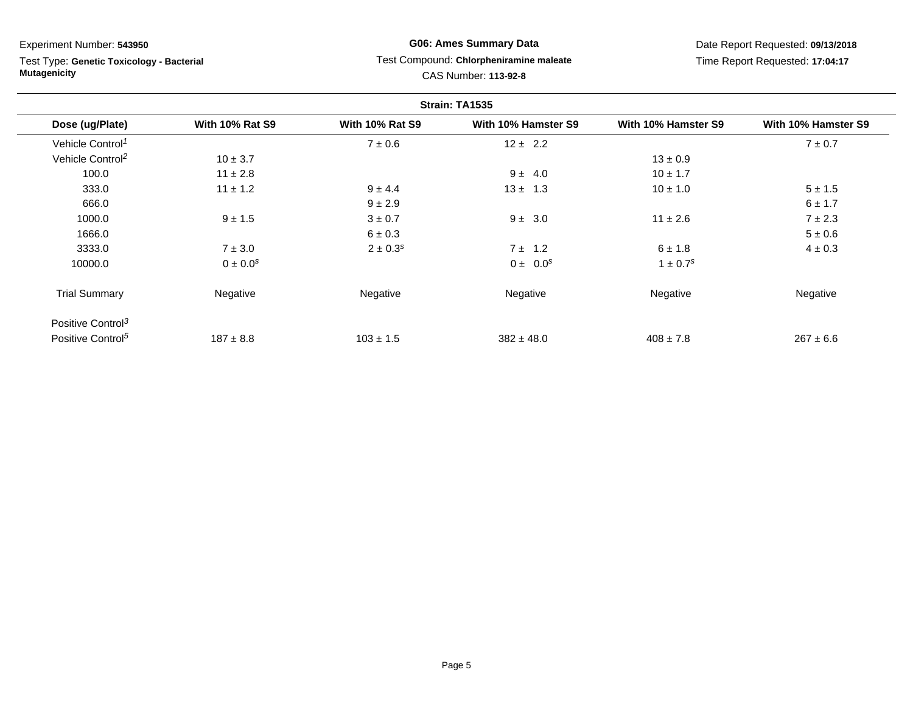Test Type: **Genetic Toxicology - Bacterial Mutagenicity**

# **G06: Ames Summary Data**Test Compound: **Chlorpheniramine maleate**

Date Report Requested: **09/13/2018**Time Report Requested: **17:04:17**

| Strain: TA1535                |                          |                        |                     |                          |                     |
|-------------------------------|--------------------------|------------------------|---------------------|--------------------------|---------------------|
| Dose (ug/Plate)               | <b>With 10% Rat S9</b>   | <b>With 10% Rat S9</b> | With 10% Hamster S9 | With 10% Hamster S9      | With 10% Hamster S9 |
| Vehicle Control <sup>1</sup>  |                          | $7 \pm 0.6$            | $12 \pm 2.2$        |                          | $7 \pm 0.7$         |
| Vehicle Control <sup>2</sup>  | $10 \pm 3.7$             |                        |                     | $13 \pm 0.9$             |                     |
| 100.0                         | $11 \pm 2.8$             |                        | $9 \pm 4.0$         | $10 \pm 1.7$             |                     |
| 333.0                         | $11 \pm 1.2$             | $9 \pm 4.4$            | $13 \pm 1.3$        | $10 \pm 1.0$             | $5 \pm 1.5$         |
| 666.0                         |                          | $9 \pm 2.9$            |                     |                          | 6 ± 1.7             |
| 1000.0                        | $9 \pm 1.5$              | $3 \pm 0.7$            | $9 \pm 3.0$         | $11 \pm 2.6$             | $7 \pm 2.3$         |
| 1666.0                        |                          | $6 \pm 0.3$            |                     |                          | $5 \pm 0.6$         |
| 3333.0                        | $7 \pm 3.0$              | $2 \pm 0.3^s$          | $7 \pm 1.2$         | $6 \pm 1.8$              | $4 \pm 0.3$         |
| 10000.0                       | $0 \pm 0.0$ <sup>s</sup> |                        | $0 \pm 0.0^s$       | $1 \pm 0.7$ <sup>s</sup> |                     |
| <b>Trial Summary</b>          | Negative                 | Negative               | Negative            | Negative                 | Negative            |
| Positive Control <sup>3</sup> |                          |                        |                     |                          |                     |
| Positive Control <sup>5</sup> | $187 \pm 8.8$            | $103 \pm 1.5$          | $382 \pm 48.0$      | $408 \pm 7.8$            | $267 \pm 6.6$       |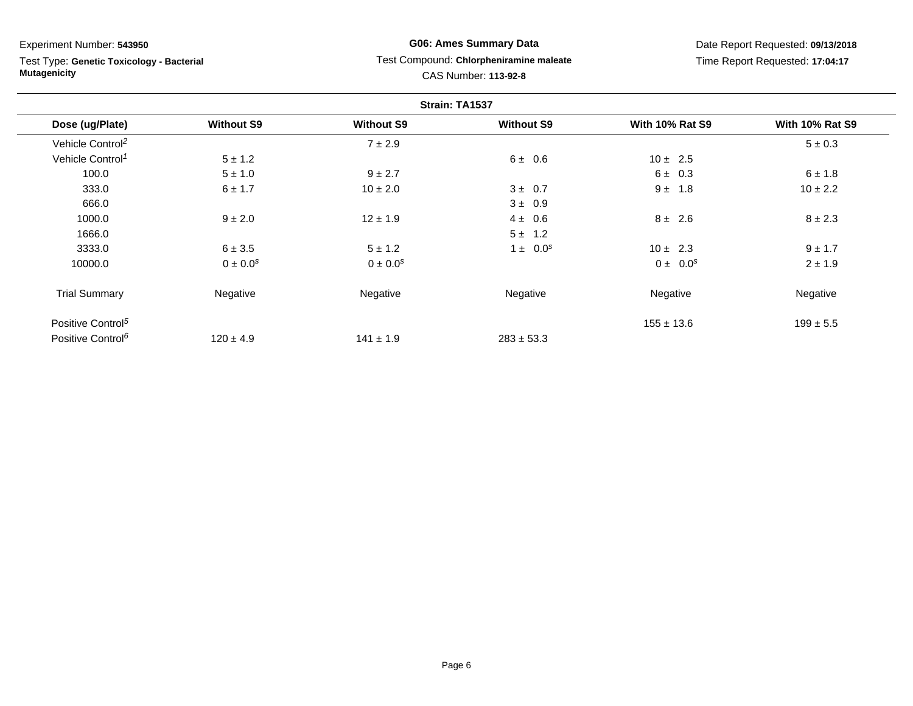Test Type: **Genetic Toxicology - BacterialMutagenicity**

### **G06: Ames Summary Data** Test Compound: **Chlorpheniramine maleate**CAS Number: **113-92-8**

| Strain: TA1537                |                   |                   |                   |                        |                        |
|-------------------------------|-------------------|-------------------|-------------------|------------------------|------------------------|
| Dose (ug/Plate)               | <b>Without S9</b> | <b>Without S9</b> | <b>Without S9</b> | <b>With 10% Rat S9</b> | <b>With 10% Rat S9</b> |
| Vehicle Control <sup>2</sup>  |                   | $7 \pm 2.9$       |                   |                        | $5 \pm 0.3$            |
| Vehicle Control <sup>1</sup>  | $5 \pm 1.2$       |                   | 6 ± 0.6           | $10 \pm 2.5$           |                        |
| 100.0                         | $5 \pm 1.0$       | $9 \pm 2.7$       |                   | $6 \pm 0.3$            | 6 ± 1.8                |
| 333.0                         | 6 ± 1.7           | $10 \pm 2.0$      | $3 \pm 0.7$       | $9 \pm 1.8$            | $10 \pm 2.2$           |
| 666.0                         |                   |                   | $3 \pm 0.9$       |                        |                        |
| 1000.0                        | $9 \pm 2.0$       | $12 \pm 1.9$      | $4 \pm 0.6$       | $8 \pm 2.6$            | $8 \pm 2.3$            |
| 1666.0                        |                   |                   | $5 \pm 1.2$       |                        |                        |
| 3333.0                        | $6 \pm 3.5$       | $5 \pm 1.2$       | $1 \pm 0.0^{s}$   | $10 \pm 2.3$           | $9 \pm 1.7$            |
| 10000.0                       | $0 \pm 0.0^{s}$   | $0 \pm 0.0^{s}$   |                   | $0 \pm 0.0^s$          | $2 \pm 1.9$            |
| <b>Trial Summary</b>          | Negative          | Negative          | Negative          | Negative               | Negative               |
| Positive Control <sup>5</sup> |                   |                   |                   | $155 \pm 13.6$         | $199 \pm 5.5$          |
| Positive Control <sup>6</sup> | $120 \pm 4.9$     | $141 \pm 1.9$     | $283 \pm 53.3$    |                        |                        |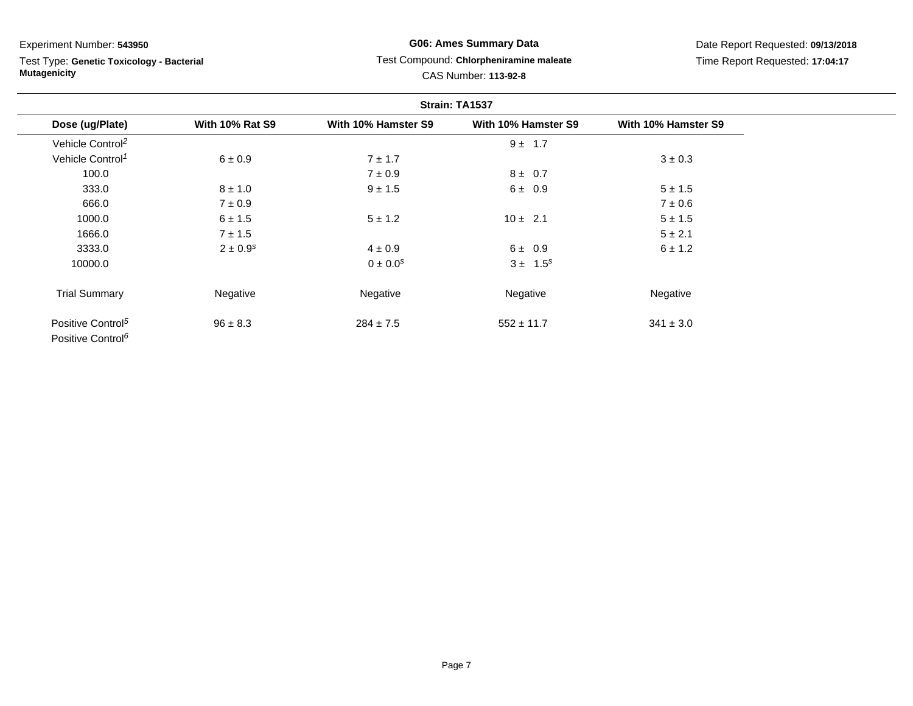Test Type: **Genetic Toxicology - Bacterial Mutagenicity**

# **G06: Ames Summary Data**Test Compound: **Chlorpheniramine maleate**

Date Report Requested: **09/13/2018**Time Report Requested: **17:04:17**

|                                                                | Strain: TA1537         |                          |                     |                     |  |
|----------------------------------------------------------------|------------------------|--------------------------|---------------------|---------------------|--|
| Dose (ug/Plate)                                                | <b>With 10% Rat S9</b> | With 10% Hamster S9      | With 10% Hamster S9 | With 10% Hamster S9 |  |
| Vehicle Control <sup>2</sup>                                   |                        |                          | $9 \pm 1.7$         |                     |  |
| Vehicle Control <sup>1</sup>                                   | 6 ± 0.9                | $7 \pm 1.7$              |                     | $3 \pm 0.3$         |  |
| 100.0                                                          |                        | $7 \pm 0.9$              | $8 \pm 0.7$         |                     |  |
| 333.0                                                          | $8 \pm 1.0$            | $9 \pm 1.5$              | $6 \pm 0.9$         | $5 \pm 1.5$         |  |
| 666.0                                                          | $7 \pm 0.9$            |                          |                     | $7 \pm 0.6$         |  |
| 1000.0                                                         | 6 ± 1.5                | $5 \pm 1.2$              | $10 \pm 2.1$        | $5 \pm 1.5$         |  |
| 1666.0                                                         | $7 \pm 1.5$            |                          |                     | $5 \pm 2.1$         |  |
| 3333.0                                                         | $2 \pm 0.9^s$          | $4 \pm 0.9$              | $6 \pm 0.9$         | 6 ± 1.2             |  |
| 10000.0                                                        |                        | $0 \pm 0.0$ <sup>s</sup> | $3 \pm 1.5^s$       |                     |  |
| <b>Trial Summary</b>                                           | Negative               | Negative                 | Negative            | Negative            |  |
| Positive Control <sup>5</sup><br>Positive Control <sup>6</sup> | $96 \pm 8.3$           | $284 \pm 7.5$            | $552 \pm 11.7$      | $341 \pm 3.0$       |  |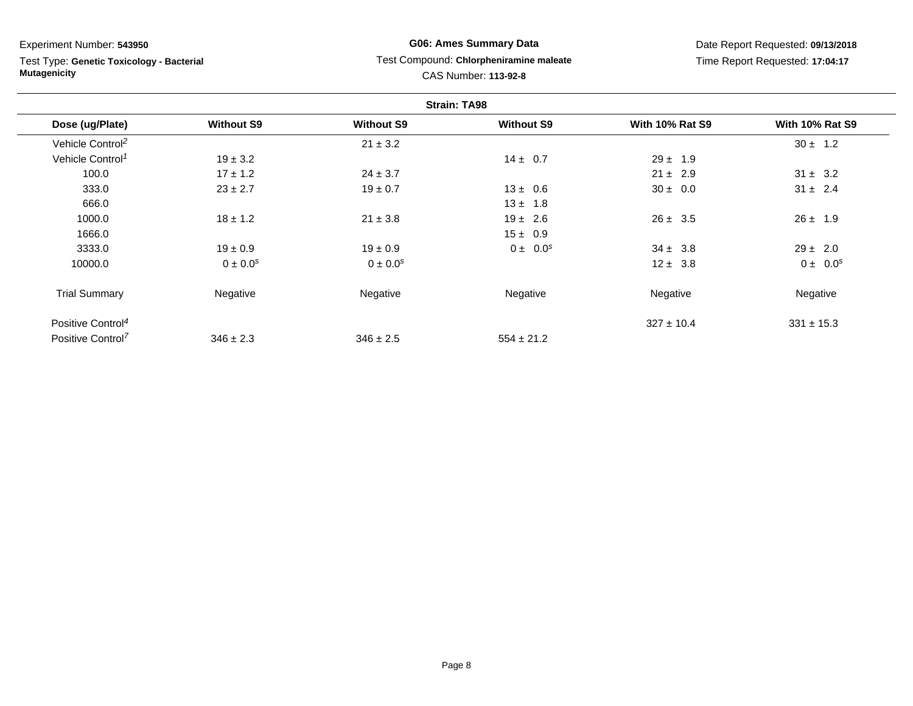Test Type: **Genetic Toxicology - Bacterial Mutagenicity**

## **G06: Ames Summary Data** Test Compound: **Chlorpheniramine maleate**CAS Number: **113-92-8**

|                               | <b>Strain: TA98</b> |                   |                   |                        |                        |
|-------------------------------|---------------------|-------------------|-------------------|------------------------|------------------------|
| Dose (ug/Plate)               | <b>Without S9</b>   | <b>Without S9</b> | <b>Without S9</b> | <b>With 10% Rat S9</b> | <b>With 10% Rat S9</b> |
| Vehicle Control <sup>2</sup>  |                     | $21 \pm 3.2$      |                   |                        | $30 \pm 1.2$           |
| Vehicle Control <sup>1</sup>  | $19 \pm 3.2$        |                   | $14 \pm 0.7$      | $29 \pm 1.9$           |                        |
| 100.0                         | $17 \pm 1.2$        | $24 \pm 3.7$      |                   | $21 \pm 2.9$           | $31 \pm 3.2$           |
| 333.0                         | $23 \pm 2.7$        | $19 \pm 0.7$      | $13 \pm 0.6$      | $30 \pm 0.0$           | $31 \pm 2.4$           |
| 666.0                         |                     |                   | $13 \pm 1.8$      |                        |                        |
| 1000.0                        | $18 \pm 1.2$        | $21 \pm 3.8$      | $19 \pm 2.6$      | $26 \pm 3.5$           | $26 \pm 1.9$           |
| 1666.0                        |                     |                   | $15 \pm 0.9$      |                        |                        |
| 3333.0                        | $19 \pm 0.9$        | $19 \pm 0.9$      | $0 \pm 0.0^s$     | $34 \pm 3.8$           | $29 \pm 2.0$           |
| 10000.0                       | $0 \pm 0.0^{s}$     | $0 \pm 0.0^s$     |                   | $12 \pm 3.8$           | $0 \pm 0.0^s$          |
| <b>Trial Summary</b>          | Negative            | Negative          | Negative          | Negative               | Negative               |
| Positive Control <sup>4</sup> |                     |                   |                   | $327 \pm 10.4$         | $331 \pm 15.3$         |
| Positive Control <sup>7</sup> | $346 \pm 2.3$       | $346 \pm 2.5$     | $554 \pm 21.2$    |                        |                        |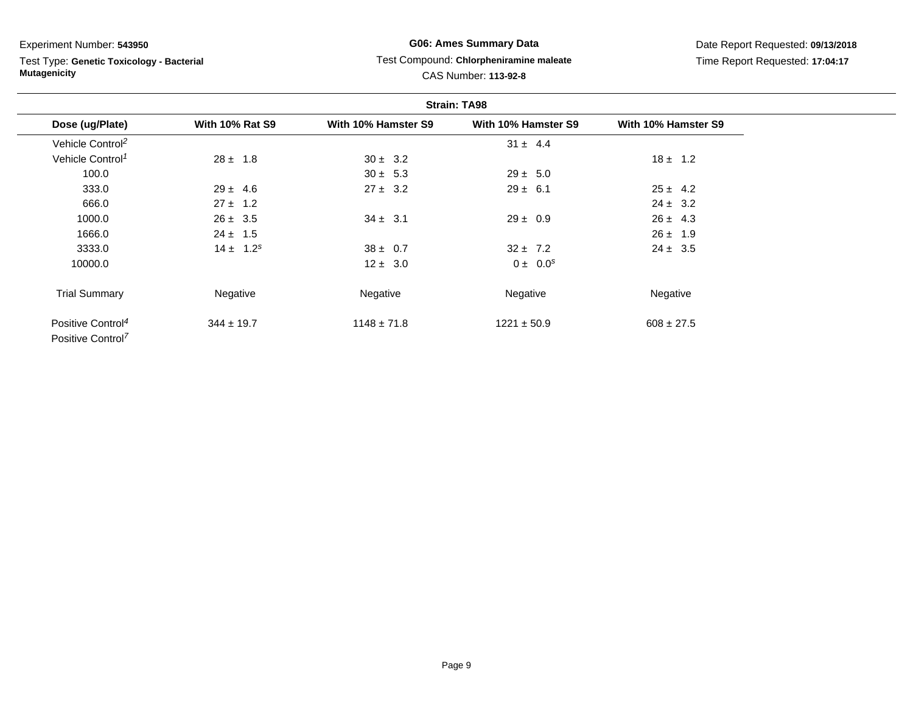Test Type: **Genetic Toxicology - Bacterial Mutagenicity**

# **G06: Ames Summary Data**Test Compound: **Chlorpheniramine maleate**

Date Report Requested: **09/13/2018**Time Report Requested: **17:04:17**

|                                                                | <b>Strain: TA98</b>    |                     |                     |                     |  |
|----------------------------------------------------------------|------------------------|---------------------|---------------------|---------------------|--|
| Dose (ug/Plate)                                                | <b>With 10% Rat S9</b> | With 10% Hamster S9 | With 10% Hamster S9 | With 10% Hamster S9 |  |
| Vehicle Control <sup>2</sup>                                   |                        |                     | $31 \pm 4.4$        |                     |  |
| Vehicle Control <sup>1</sup>                                   | $28 \pm 1.8$           | $30 \pm 3.2$        |                     | $18 \pm 1.2$        |  |
| 100.0                                                          |                        | $30 \pm 5.3$        | $29 \pm 5.0$        |                     |  |
| 333.0                                                          | $29 \pm 4.6$           | $27 \pm 3.2$        | $29 \pm 6.1$        | $25 \pm 4.2$        |  |
| 666.0                                                          | $27 \pm 1.2$           |                     |                     | $24 \pm 3.2$        |  |
| 1000.0                                                         | $26 \pm 3.5$           | $34 \pm 3.1$        | $29 \pm 0.9$        | $26 \pm 4.3$        |  |
| 1666.0                                                         | $24 \pm 1.5$           |                     |                     | $26 \pm 1.9$        |  |
| 3333.0                                                         | $14 \pm 1.2^s$         | $38 \pm 0.7$        | $32 \pm 7.2$        | $24 \pm 3.5$        |  |
| 10000.0                                                        |                        | $12 \pm 3.0$        | $0 \pm 0.0^s$       |                     |  |
| <b>Trial Summary</b>                                           | Negative               | Negative            | Negative            | Negative            |  |
| Positive Control <sup>4</sup><br>Positive Control <sup>7</sup> | $344 \pm 19.7$         | $1148 \pm 71.8$     | $1221 \pm 50.9$     | $608 \pm 27.5$      |  |